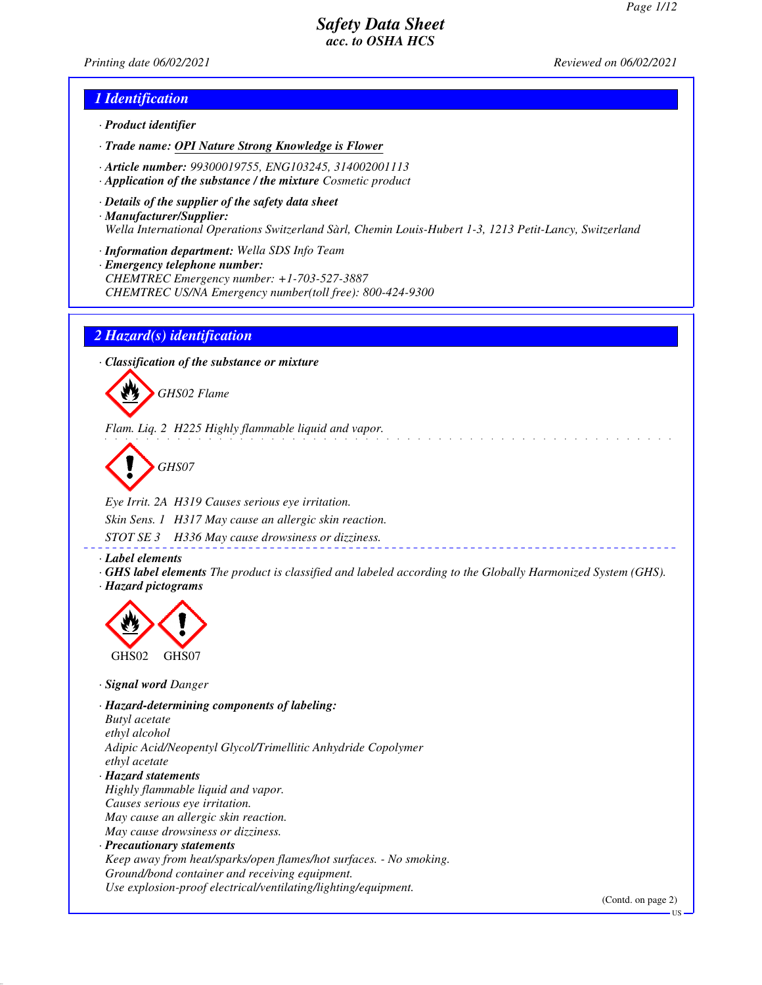*Printing date 06/02/2021 Reviewed on 06/02/2021*

### *1 Identification*

- *· Product identifier*
- *· Trade name: OPI Nature Strong Knowledge is Flower*
- *· Article number: 99300019755, ENG103245, 314002001113*
- *· Application of the substance / the mixture Cosmetic product*
- *· Details of the supplier of the safety data sheet · Manufacturer/Supplier: Wella International Operations Switzerland Sàrl, Chemin Louis-Hubert 1-3, 1213 Petit-Lancy, Switzerland*
- *· Information department: Wella SDS Info Team*
- *· Emergency telephone number: CHEMTREC Emergency number: +1-703-527-3887 CHEMTREC US/NA Emergency number(toll free): 800-424-9300*

#### *2 Hazard(s) identification*

*· Classification of the substance or mixture*



*Flam. Liq. 2 H225 Highly flammable liquid and vapor.*

*GHS07*

*Eye Irrit. 2A H319 Causes serious eye irritation. Skin Sens. 1 H317 May cause an allergic skin reaction. STOT SE 3 H336 May cause drowsiness or dizziness.*

*· Label elements*

*· GHS label elements The product is classified and labeled according to the Globally Harmonized System (GHS). · Hazard pictograms*



*· Signal word Danger*

*· Hazard-determining components of labeling: Butyl acetate ethyl alcohol Adipic Acid/Neopentyl Glycol/Trimellitic Anhydride Copolymer ethyl acetate · Hazard statements Highly flammable liquid and vapor. Causes serious eye irritation. May cause an allergic skin reaction. May cause drowsiness or dizziness. · Precautionary statements*

*Keep away from heat/sparks/open flames/hot surfaces. - No smoking. Ground/bond container and receiving equipment. Use explosion-proof electrical/ventilating/lighting/equipment.*

(Contd. on page 2)

US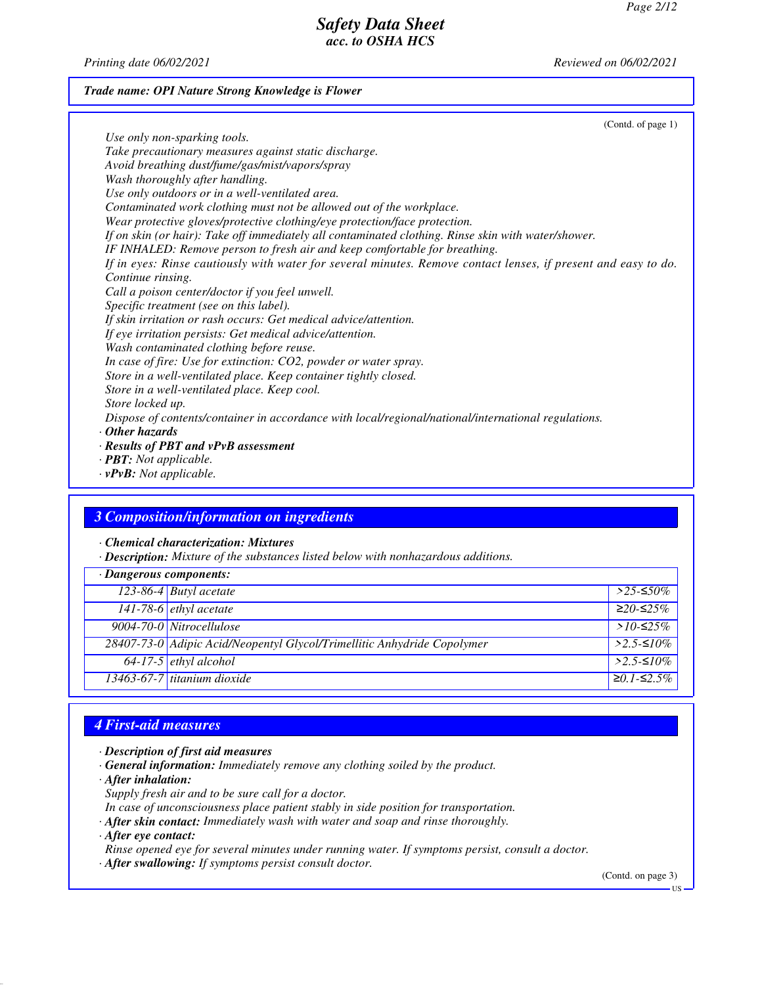*Printing date 06/02/2021 Reviewed on 06/02/2021*

#### *Trade name: OPI Nature Strong Knowledge is Flower*

(Contd. of page 1) *Use only non-sparking tools. Take precautionary measures against static discharge. Avoid breathing dust/fume/gas/mist/vapors/spray Wash thoroughly after handling. Use only outdoors or in a well-ventilated area. Contaminated work clothing must not be allowed out of the workplace. Wear protective gloves/protective clothing/eye protection/face protection. If on skin (or hair): Take off immediately all contaminated clothing. Rinse skin with water/shower. IF INHALED: Remove person to fresh air and keep comfortable for breathing. If in eyes: Rinse cautiously with water for several minutes. Remove contact lenses, if present and easy to do. Continue rinsing. Call a poison center/doctor if you feel unwell. Specific treatment (see on this label). If skin irritation or rash occurs: Get medical advice/attention. If eye irritation persists: Get medical advice/attention. Wash contaminated clothing before reuse. In case of fire: Use for extinction: CO2, powder or water spray. Store in a well-ventilated place. Keep container tightly closed. Store in a well-ventilated place. Keep cool. Store locked up. Dispose of contents/container in accordance with local/regional/national/international regulations. · Other hazards · Results of PBT and vPvB assessment · PBT: Not applicable.*

*· vPvB: Not applicable.*

### *3 Composition/information on ingredients*

*· Chemical characterization: Mixtures*

*· Description: Mixture of the substances listed below with nonhazardous additions.*

| $\cdot$ Dangerous components: |                                                                         |                     |
|-------------------------------|-------------------------------------------------------------------------|---------------------|
|                               | 123-86-4 Butyl acetate                                                  | $>$ 25-≤50%         |
|                               | $141-78-6$ ethyl acetate                                                | $≥20-≤25%$          |
|                               | 9004-70-0 Nitrocellulose                                                | > $10$ -≤25%        |
|                               | 28407-73-0 Adipic Acid/Neopentyl Glycol/Trimellitic Anhydride Copolymer | $>2.5-10\%$         |
|                               | $\sqrt{64-17-5}$ ethyl alcohol                                          | $>2.5-10\%$         |
|                               | 13463-67-7 titanium dioxide                                             | $\geq 0.1 - 52.5\%$ |

## *4 First-aid measures*

- *· Description of first aid measures*
- *· General information: Immediately remove any clothing soiled by the product.*
- *· After inhalation:*
- *Supply fresh air and to be sure call for a doctor.*
- *In case of unconsciousness place patient stably in side position for transportation.*
- *· After skin contact: Immediately wash with water and soap and rinse thoroughly.*
- *· After eye contact:*

*Rinse opened eye for several minutes under running water. If symptoms persist, consult a doctor.*

*· After swallowing: If symptoms persist consult doctor.*

(Contd. on page 3)

US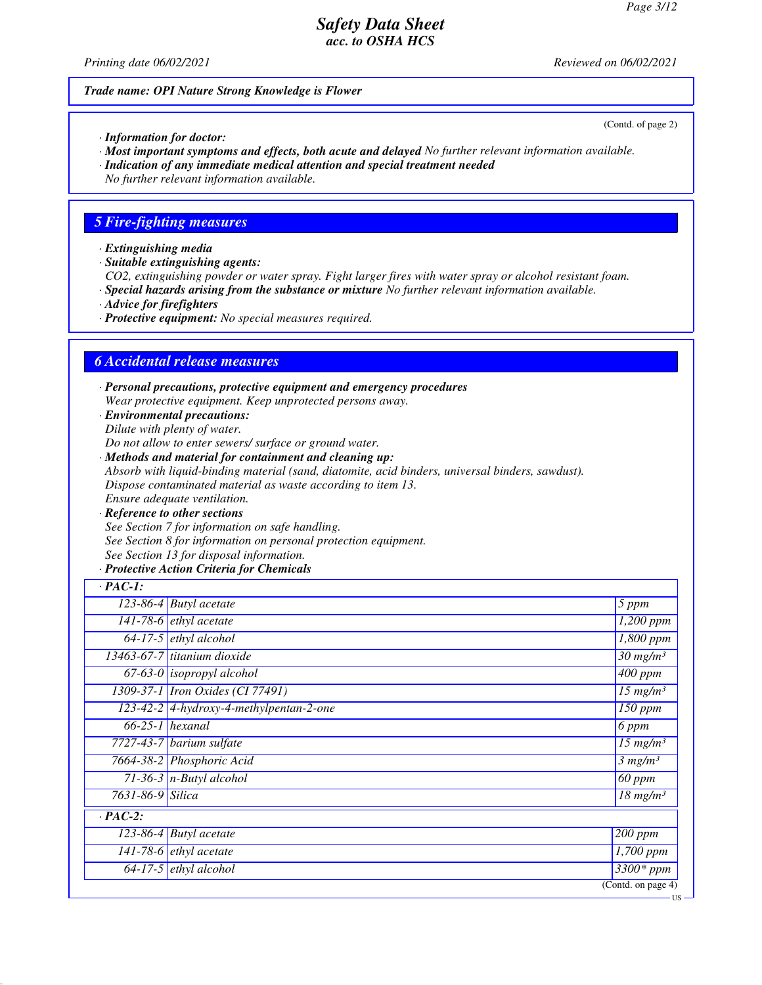(Contd. of page 2)

US

## *Safety Data Sheet acc. to OSHA HCS*

*Printing date 06/02/2021 Reviewed on 06/02/2021*

#### *Trade name: OPI Nature Strong Knowledge is Flower*

- *· Information for doctor:*
- *· Most important symptoms and effects, both acute and delayed No further relevant information available.*
- *· Indication of any immediate medical attention and special treatment needed*
- *No further relevant information available.*

## *5 Fire-fighting measures*

- *· Extinguishing media*
- *· Suitable extinguishing agents:*
- *CO2, extinguishing powder or water spray. Fight larger fires with water spray or alcohol resistant foam.*
- *· Special hazards arising from the substance or mixture No further relevant information available.*
- *· Advice for firefighters*
- *· Protective equipment: No special measures required.*

### *6 Accidental release measures*

- *· Personal precautions, protective equipment and emergency procedures Wear protective equipment. Keep unprotected persons away.*
- *· Environmental precautions: Dilute with plenty of water.*
- *Do not allow to enter sewers/ surface or ground water.*
- *· Methods and material for containment and cleaning up: Absorb with liquid-binding material (sand, diatomite, acid binders, universal binders, sawdust). Dispose contaminated material as waste according to item 13. Ensure adequate ventilation.*
- *· Reference to other sections See Section 7 for information on safe handling. See Section 8 for information on personal protection equipment. See Section 13 for disposal information.*
- *· Protective Action Criteria for Chemicals*

| $\cdot$ PAC-1:   |                                             |                                   |
|------------------|---------------------------------------------|-----------------------------------|
|                  | $\overline{123-86} - 4$ Butyl acetate       | 5 ppm                             |
|                  | $\overline{141}$ -78-6 <i>ethyl</i> acetate | $\overline{1,200}$ ppm            |
|                  | $64-17-5$ ethyl alcohol                     | 1,800 ppm                         |
|                  | 13463-67-7 titanium dioxide                 | $\overline{30}$ mg/m <sup>3</sup> |
|                  | $\overline{67-63-0}$ isopropyl alcohol      | $\overline{400}$ ppm              |
|                  | 1309-37-1 Iron Oxides (CI 77491)            | $\overline{15}$ mg/m <sup>3</sup> |
|                  | $123-42-2$ 4-hydroxy-4-methylpentan-2-one   | 150 ppm                           |
|                  | $66-25-1$ hexanal                           | $6$ ppm                           |
|                  | 7727-43-7 barium sulfate                    | $15$ mg/m <sup>3</sup>            |
|                  | 7664-38-2 Phosphoric Acid                   | 3 mg/m <sup>3</sup>               |
|                  | 71-36-3 $n$ -Butyl alcohol                  | $\overline{60}$ ppm               |
| 7631-86-9 Silica |                                             | $\overline{18}$ mg/m <sup>3</sup> |
| $\cdot$ PAC-2:   |                                             |                                   |
|                  | $123-86-4$ Butyl acetate                    | $200$ ppm                         |
|                  | $\overline{141}$ -78-6 <i>ethyl</i> acetate | 1,700 ppm                         |
|                  | $64-17-5$ ethyl alcohol                     | $3300*$ ppm                       |
|                  |                                             | (Contd. on page 4)                |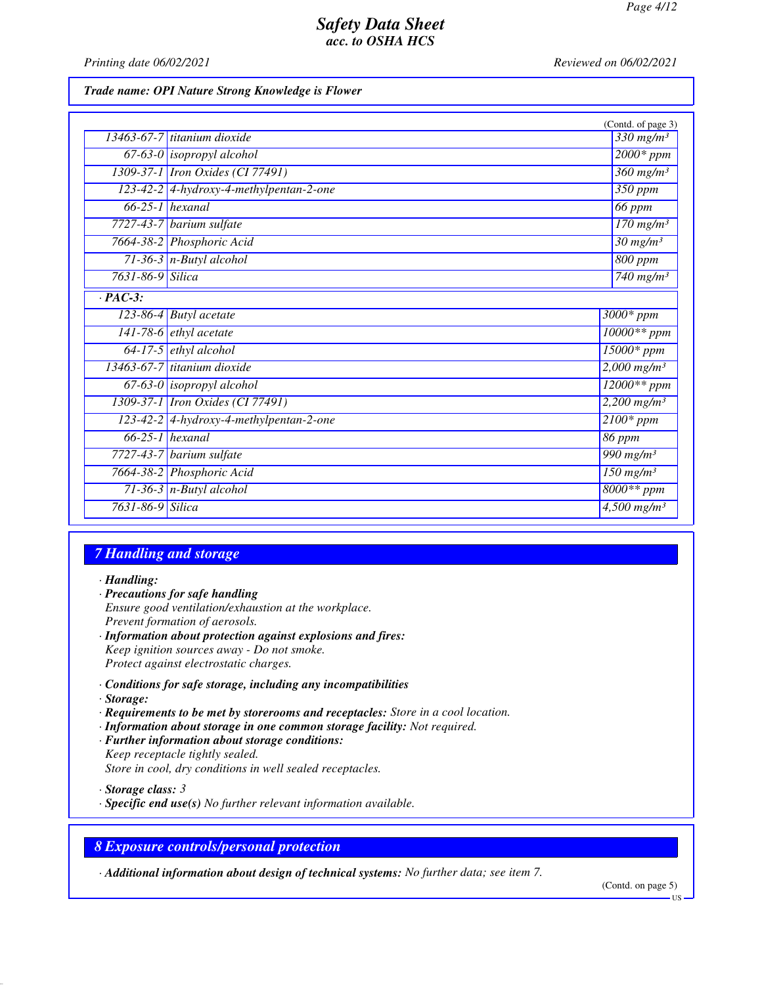*Printing date 06/02/2021 Reviewed on 06/02/2021*

#### *Trade name: OPI Nature Strong Knowledge is Flower*

|                      |                                         | (Contd. of page 3)                 |
|----------------------|-----------------------------------------|------------------------------------|
|                      | 13463-67-7 titanium dioxide             | $330$ mg/m <sup>3</sup>            |
|                      | $67-63-0$ isopropyl alcohol             | $2000*$ ppm                        |
|                      | 1309-37-1 <i>Iron Oxides</i> (CI 77491) | $360$ mg/m <sup>3</sup>            |
|                      | 123-42-2 4-hydroxy-4-methylpentan-2-one | 350 ppm                            |
|                      | $66-25-1$ hexanal                       | $66$ ppm                           |
|                      | $7727-43-7$ barium sulfate              | $170$ mg/m <sup>3</sup>            |
|                      | 7664-38-2 Phosphoric Acid               | $\frac{30 \text{ mg}}{m}$          |
|                      | $71-36-3$ n-Butyl alcohol               | 800 ppm                            |
| 7631-86-9 Silica     |                                         | 740 mg/m $3$                       |
| $\overline{PAC-3}$ : |                                         |                                    |
|                      | $\overline{123-86-4}$ Butyl acetate     | $3000*$ ppm                        |
|                      | 141-78-6 $ethyl$ acetate                | $10000**$ ppm                      |
|                      | $64-17-5$ ethyl alcohol                 | $15000*$ ppm                       |
|                      | 13463-67-7 titanium dioxide             | $2,000$ mg/m <sup>3</sup>          |
|                      | $67-63-0$ isopropyl alcohol             | $12000**$ ppm                      |
|                      | 1309-37-1 <i>Iron Oxides</i> (CI 77491) | $2,200$ mg/m <sup>3</sup>          |
|                      | 123-42-2 4-hydroxy-4-methylpentan-2-one | $\overline{2100*ppm}$              |
|                      | $66-25-1$ hexanal                       | 86 ppm                             |
|                      | $7727-43-7$ barium sulfate              | $\overline{990}$ mg/m <sup>3</sup> |
|                      | 7664-38-2 Phosphoric Acid               | $\overline{150}$ mg/m <sup>3</sup> |
|                      | $71-36-3$ n-Butyl alcohol               | 8000** ppm                         |
| 7631-86-9 Silica     |                                         | $\frac{4,500 \text{ mg}}{m^3}$     |

## *7 Handling and storage*

*· Handling:*

- *· Precautions for safe handling Ensure good ventilation/exhaustion at the workplace. Prevent formation of aerosols. · Information about protection against explosions and fires:*
- *Keep ignition sources away Do not smoke. Protect against electrostatic charges.*
- *· Conditions for safe storage, including any incompatibilities · Storage:*
- *· Requirements to be met by storerooms and receptacles: Store in a cool location.*
- *· Information about storage in one common storage facility: Not required.*
- *· Further information about storage conditions: Keep receptacle tightly sealed. Store in cool, dry conditions in well sealed receptacles.*

*· Storage class: 3* 

*· Specific end use(s) No further relevant information available.*

## *8 Exposure controls/personal protection*

*· Additional information about design of technical systems: No further data; see item 7.*

(Contd. on page 5)

US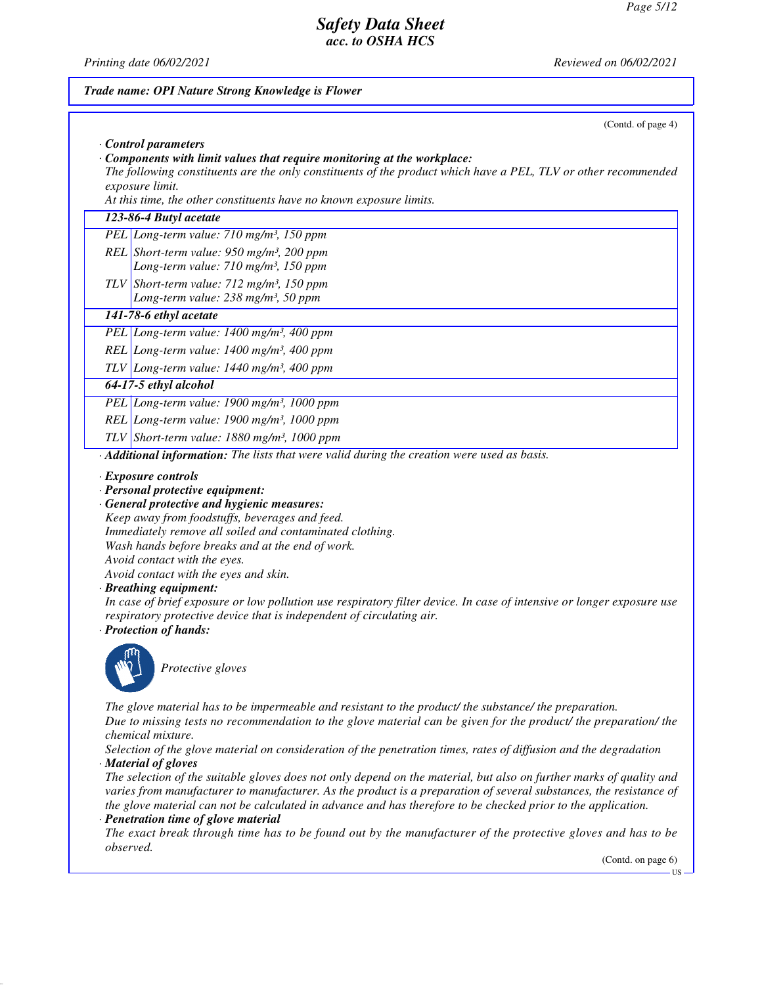**TIC** 

## *Safety Data Sheet acc. to OSHA HCS*

*Trade name: OPI Nature Strong Knowledge is Flower*

*Printing date 06/02/2021 Reviewed on 06/02/2021*

# (Contd. of page 4) *· Control parameters · Components with limit values that require monitoring at the workplace: The following constituents are the only constituents of the product which have a PEL, TLV or other recommended exposure limit. At this time, the other constituents have no known exposure limits. 123-86-4 Butyl acetate PEL Long-term value: 710 mg/m³, 150 ppm REL Short-term value: 950 mg/m³, 200 ppm Long-term value: 710 mg/m³, 150 ppm TLV Short-term value: 712 mg/m³, 150 ppm Long-term value: 238 mg/m³, 50 ppm 141-78-6 ethyl acetate PEL Long-term value: 1400 mg/m³, 400 ppm REL Long-term value: 1400 mg/m³, 400 ppm TLV Long-term value: 1440 mg/m³, 400 ppm 64-17-5 ethyl alcohol PEL Long-term value: 1900 mg/m³, 1000 ppm REL Long-term value: 1900 mg/m³, 1000 ppm TLV Short-term value: 1880 mg/m³, 1000 ppm · Additional information: The lists that were valid during the creation were used as basis. · Exposure controls · Personal protective equipment: · General protective and hygienic measures: Keep away from foodstuffs, beverages and feed. Immediately remove all soiled and contaminated clothing. Wash hands before breaks and at the end of work. Avoid contact with the eyes. Avoid contact with the eyes and skin. · Breathing equipment: In case of brief exposure or low pollution use respiratory filter device. In case of intensive or longer exposure use respiratory protective device that is independent of circulating air. · Protection of hands: Protective gloves The glove material has to be impermeable and resistant to the product/ the substance/ the preparation. Due to missing tests no recommendation to the glove material can be given for the product/ the preparation/ the chemical mixture. Selection of the glove material on consideration of the penetration times, rates of diffusion and the degradation · Material of gloves The selection of the suitable gloves does not only depend on the material, but also on further marks of quality and varies from manufacturer to manufacturer. As the product is a preparation of several substances, the resistance of the glove material can not be calculated in advance and has therefore to be checked prior to the application. · Penetration time of glove material The exact break through time has to be found out by the manufacturer of the protective gloves and has to be observed.* (Contd. on page 6)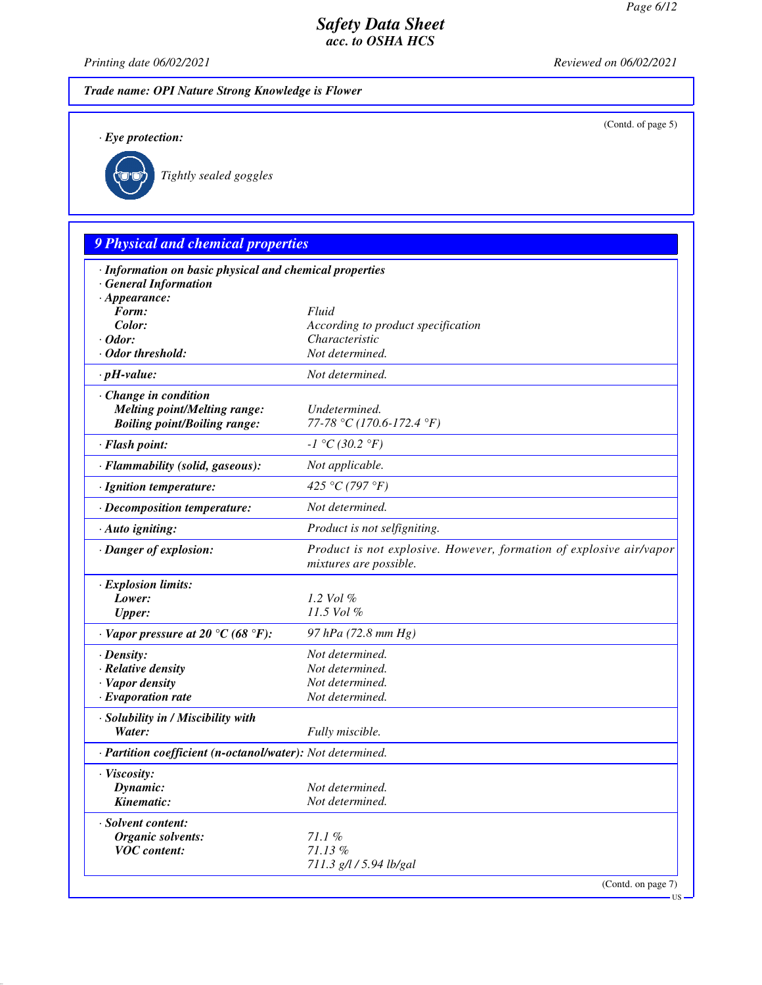(Contd. of page 5)

US

### *Safety Data Sheet acc. to OSHA HCS*

*Printing date 06/02/2021 Reviewed on 06/02/2021*

*Trade name: OPI Nature Strong Knowledge is Flower*

*· Eye protection:*



*Tightly sealed goggles*

## *9 Physical and chemical properties · Information on basic physical and chemical properties · General Information · Appearance: Form: Fluid Color: According to product specification · Odor: Characteristic · Odor threshold: Not determined. · pH-value: Not determined. · Change in condition Melting point/Melting range: Undetermined. Boiling point/Boiling range: 77-78 °C (170.6-172.4 °F) · Flash point: -1 °C (30.2 °F) · Flammability (solid, gaseous): Not applicable. · Ignition temperature: 425 °C (797 °F) · Decomposition temperature: Not determined. · Auto igniting: Product is not selfigniting. · Danger of explosion: Product is not explosive. However, formation of explosive air/vapor mixtures are possible. · Explosion limits: Lower: 1.2 Vol % Upper: 11.5 Vol % · Vapor pressure at 20 °C (68 °F): 97 hPa (72.8 mm Hg) · Density: Not determined. · Relative density Not determined. · Vapor density Not determined. <i>·* Evaporation rate *· Solubility in / Miscibility with Water: Fully miscible. · Partition coefficient (n-octanol/water): Not determined. · Viscosity: Dynamic: Not determined. Kinematic: Not determined. · Solvent content: Organic solvents: 71.1 % VOC content: 71.13 % 711.3 g/l / 5.94 lb/gal* (Contd. on page 7)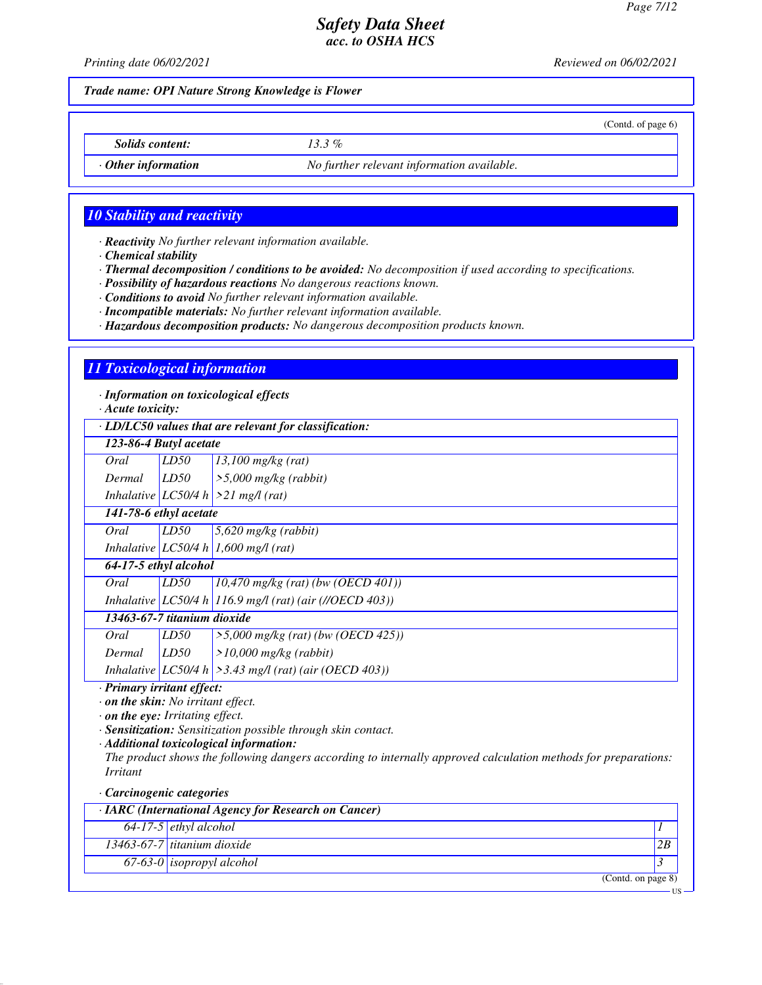(Contd. of page 6)

## *Safety Data Sheet acc. to OSHA HCS*

*Printing date 06/02/2021 Reviewed on 06/02/2021*

*Trade name: OPI Nature Strong Knowledge is Flower*

*Solids content: 13.3 %*

*· Other information No further relevant information available.*

### *10 Stability and reactivity*

*· Reactivity No further relevant information available.*

*· Chemical stability*

*· Thermal decomposition / conditions to be avoided: No decomposition if used according to specifications.*

*· Possibility of hazardous reactions No dangerous reactions known.*

*· Conditions to avoid No further relevant information available.*

*· Incompatible materials: No further relevant information available.*

*· Hazardous decomposition products: No dangerous decomposition products known.*

#### *11 Toxicological information*

*· Information on toxicological effects*

*· Acute toxicity:*

*· LD/LC50 values that are relevant for classification:*

| · LD/LC50 raines mai are reieram for classification. |      |                                                            |
|------------------------------------------------------|------|------------------------------------------------------------|
| 123-86-4 Butyl acetate                               |      |                                                            |
| Oral                                                 | LD50 | $13,100$ mg/kg (rat)                                       |
| Dermal                                               | LD50 | $>$ 5,000 mg/kg (rabbit)                                   |
|                                                      |      | Inhalative LC50/4 h $>21$ mg/l (rat)                       |
| 141-78-6 ethyl acetate                               |      |                                                            |
| Oral                                                 | LD50 | $5,620$ mg/kg (rabbit)                                     |
|                                                      |      | Inhalative $LC50/4 h$ 1,600 mg/l (rat)                     |
| 64-17-5 ethyl alcohol                                |      |                                                            |
| Oral                                                 | LD50 | $10,470$ mg/kg (rat) (bw (OECD 401))                       |
|                                                      |      | Inhalative LC50/4 h 116.9 mg/l (rat) (air (//OECD 403))    |
| 13463-67-7 titanium dioxide                          |      |                                                            |
| Oral                                                 | LD50 | $>5,000$ mg/kg (rat) (bw (OECD 425))                       |
| Dermal                                               | LD50 | $>10,000$ mg/kg (rabbit)                                   |
|                                                      |      | Inhalative $ LCS0/4 h  > 3.43$ mg/l (rat) (air (OECD 403)) |

*· Primary irritant effect:*

*· on the skin: No irritant effect.*

*· on the eye: Irritating effect.*

*· Sensitization: Sensitization possible through skin contact.*

*· Additional toxicological information:*

*The product shows the following dangers according to internally approved calculation methods for preparations: Irritant*

*· Carcinogenic categories*

| $\cdot$ IARC (International Agency for Research on Cancer) |                                  |    |
|------------------------------------------------------------|----------------------------------|----|
|                                                            | $64-17-5$ ethyl alcohol          |    |
|                                                            | 13463-67-7 titanium dioxide      | 2B |
|                                                            | 67-63-0 <i>isopropyl</i> alcohol |    |
|                                                            | (Contd. on page 8)               |    |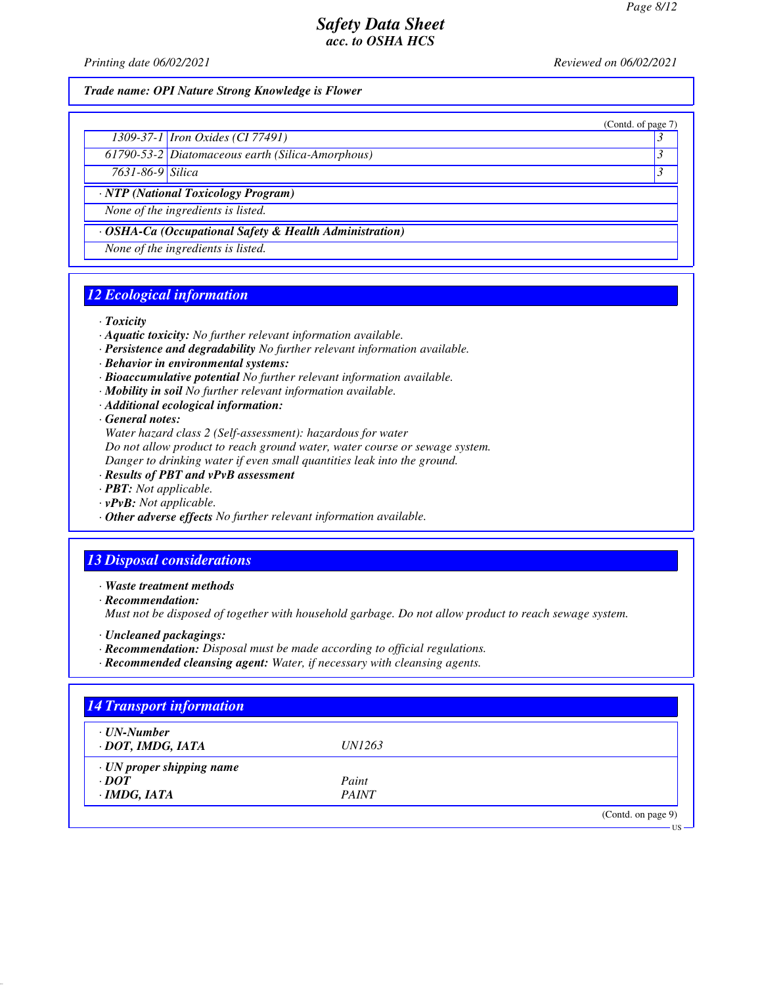(Contd. of page 7)

### *Safety Data Sheet acc. to OSHA HCS*

*Printing date 06/02/2021 Reviewed on 06/02/2021*

### *Trade name: OPI Nature Strong Knowledge is Flower*

| 1309-37-1 <i>Iron Oxides</i> ( <i>CI</i> 77491) |  |
|-------------------------------------------------|--|
|                                                 |  |

*61790-53-2 Diatomaceous earth (Silica-Amorphous) 3* 

*7631-86-9 Silica 3* 

*· NTP (National Toxicology Program)*

*None of the ingredients is listed.*

*· OSHA-Ca (Occupational Safety & Health Administration)*

*None of the ingredients is listed.*

### *12 Ecological information*

*· Toxicity*

- *· Aquatic toxicity: No further relevant information available.*
- *· Persistence and degradability No further relevant information available.*
- *· Behavior in environmental systems:*
- *· Bioaccumulative potential No further relevant information available.*
- *· Mobility in soil No further relevant information available.*
- *· Additional ecological information:*

*· General notes:*

*Water hazard class 2 (Self-assessment): hazardous for water*

*Do not allow product to reach ground water, water course or sewage system.*

*Danger to drinking water if even small quantities leak into the ground.*

- *· Results of PBT and vPvB assessment*
- *· PBT: Not applicable.*
- *· vPvB: Not applicable.*
- *· Other adverse effects No further relevant information available.*

### *13 Disposal considerations*

*· Waste treatment methods*

*· Recommendation:*

*Must not be disposed of together with household garbage. Do not allow product to reach sewage system.*

- *· Uncleaned packagings:*
- *· Recommendation: Disposal must be made according to official regulations.*
- *· Recommended cleansing agent: Water, if necessary with cleansing agents.*

| $\cdot$ UN-Number               |               |  |
|---------------------------------|---------------|--|
| · DOT, IMDG, IATA               | <i>UN1263</i> |  |
| $\cdot$ UN proper shipping name |               |  |
| $\cdot$ DOT                     | Paint         |  |
| $\cdot$ IMDG, IATA              | <b>PAINT</b>  |  |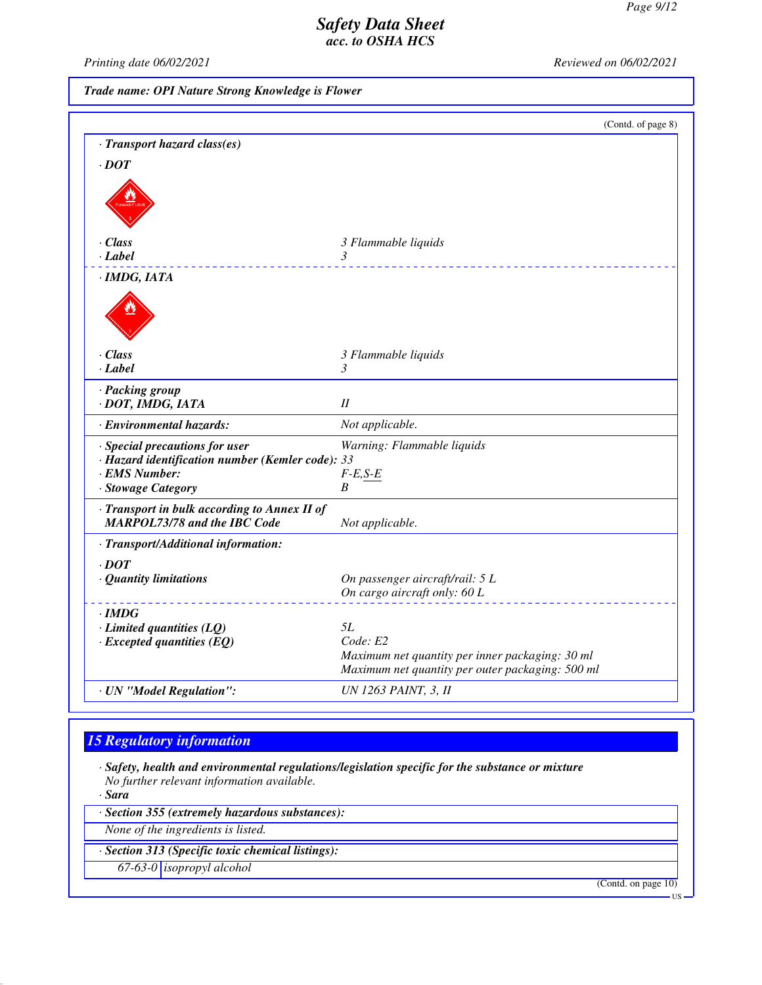*Printing date 06/02/2021 Reviewed on 06/02/2021*

*Trade name: OPI Nature Strong Knowledge is Flower*

|                                                                                     | (Contd. of page 8)                                                                                  |
|-------------------------------------------------------------------------------------|-----------------------------------------------------------------------------------------------------|
| · Transport hazard class(es)                                                        |                                                                                                     |
| $\cdot$ <i>DOT</i>                                                                  |                                                                                                     |
|                                                                                     |                                                                                                     |
|                                                                                     |                                                                                                     |
| $\cdot$ Class                                                                       | 3 Flammable liquids                                                                                 |
| $\cdot$ <i>Label</i>                                                                | 3                                                                                                   |
| ·IMDG, IATA                                                                         |                                                                                                     |
|                                                                                     |                                                                                                     |
| $\cdot$ Class                                                                       | 3 Flammable liquids                                                                                 |
| $\cdot$ <i>Label</i>                                                                | 3                                                                                                   |
| · Packing group<br>· DOT, IMDG, IATA                                                | I                                                                                                   |
| · Environmental hazards:                                                            | Not applicable.                                                                                     |
| · Special precautions for user                                                      | Warning: Flammable liquids                                                                          |
| · Hazard identification number (Kemler code): 33                                    |                                                                                                     |
| · EMS Number:                                                                       | $F-E,S-E$                                                                                           |
| · Stowage Category                                                                  | B                                                                                                   |
| · Transport in bulk according to Annex II of<br><b>MARPOL73/78 and the IBC Code</b> | Not applicable.                                                                                     |
| · Transport/Additional information:                                                 |                                                                                                     |
| $\cdot$ DOT                                                                         |                                                                                                     |
| · Quantity limitations                                                              | On passenger aircraft/rail: 5 L                                                                     |
|                                                                                     | On cargo aircraft only: 60 L                                                                        |
| $\cdot$ IMDG                                                                        |                                                                                                     |
| $\cdot$ Limited quantities (LQ)                                                     | 5L                                                                                                  |
| $\cdot$ Excepted quantities (EQ)                                                    | Code: E2                                                                                            |
|                                                                                     | Maximum net quantity per inner packaging: 30 ml<br>Maximum net quantity per outer packaging: 500 ml |
| · UN "Model Regulation":                                                            | <b>UN 1263 PAINT, 3, II</b>                                                                         |

## *15 Regulatory information*

*· Safety, health and environmental regulations/legislation specific for the substance or mixture No further relevant information available.*

*· Sara*

*· Section 355 (extremely hazardous substances):*

*None of the ingredients is listed.*

*· Section 313 (Specific toxic chemical listings):*

*67-63-0 isopropyl alcohol*

(Contd. on page 10)

US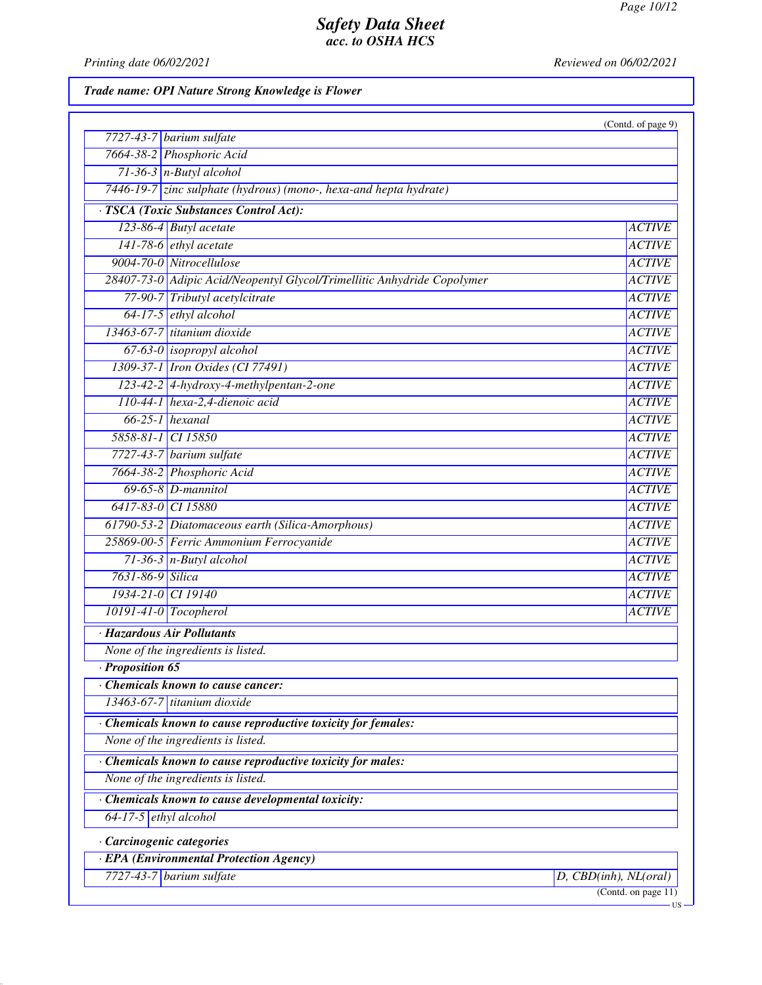*Printing date 06/02/2021 Reviewed on 06/02/2021*

## *Trade name: OPI Nature Strong Knowledge is Flower*

|                                                                         | (Contd. of page 9)        |
|-------------------------------------------------------------------------|---------------------------|
| $7727-43-7$ barium sulfate                                              |                           |
| 7664-38-2 Phosphoric Acid                                               |                           |
| $71-36-3$ n-Butyl alcohol                                               |                           |
| 7446-19-7 zinc sulphate (hydrous) (mono-, hexa-and hepta hydrate)       |                           |
| · TSCA (Toxic Substances Control Act):                                  |                           |
| 123-86-4 Butyl acetate                                                  | <b>ACTIVE</b>             |
| $141-78-6$ ethyl acetate                                                | <b>ACTIVE</b>             |
| 9004-70-0 Nitrocellulose                                                | <b>ACTIVE</b>             |
| 28407-73-0 Adipic Acid/Neopentyl Glycol/Trimellitic Anhydride Copolymer | <b>ACTIVE</b>             |
| 77-90-7 Tributyl acetylcitrate                                          | <b>ACTIVE</b>             |
| 64-17-5 ethyl alcohol                                                   | <b>ACTIVE</b>             |
| 13463-67-7 titanium dioxide                                             | <b>ACTIVE</b>             |
| 67-63-0 isopropyl alcohol                                               | <b>ACTIVE</b>             |
| 1309-37-1 Iron Oxides (CI 77491)                                        | <b>ACTIVE</b>             |
| 123-42-2 4-hydroxy-4-methylpentan-2-one                                 | <b>ACTIVE</b>             |
| 110-44-1 hexa-2,4-dienoic acid                                          | <b>ACTIVE</b>             |
| $66-25-1$ hexanal                                                       | <b>ACTIVE</b>             |
| 5858-81-1 CI 15850                                                      | <b>ACTIVE</b>             |
| 7727-43-7 barium sulfate                                                | <b>ACTIVE</b>             |
| 7664-38-2 Phosphoric Acid                                               | <b>ACTIVE</b>             |
| $69-65-8$ D-mannitol                                                    | <b>ACTIVE</b>             |
| 6417-83-0 CI 15880                                                      | <b>ACTIVE</b>             |
| 61790-53-2 Diatomaceous earth (Silica-Amorphous)                        | <b>ACTIVE</b>             |
| 25869-00-5 Ferric Ammonium Ferrocyanide                                 | <b>ACTIVE</b>             |
| $71-36-3$ n-Butyl alcohol                                               | <b>ACTIVE</b>             |
| 7631-86-9 Silica                                                        | <b>ACTIVE</b>             |
| 1934-21-0 CI 19140                                                      | <b>ACTIVE</b>             |
| $10191-41-0$ Tocopherol                                                 | <b>ACTIVE</b>             |
| · Hazardous Air Pollutants                                              |                           |
| None of the ingredients is listed.                                      |                           |
| $\cdot$ Proposition 65                                                  |                           |
| • Chemicals known to cause cancer:                                      |                           |
| $13463-67-7$ titanium dioxide                                           |                           |
| · Chemicals known to cause reproductive toxicity for females:           |                           |
| None of the ingredients is listed.                                      |                           |
| Chemicals known to cause reproductive toxicity for males:               |                           |
| None of the ingredients is listed.                                      |                           |
| Chemicals known to cause developmental toxicity:                        |                           |
| $64-17-5$ ethyl alcohol                                                 |                           |
| · Carcinogenic categories                                               |                           |
| · EPA (Environmental Protection Agency)                                 |                           |
| $7727-43-7$ barium sulfate                                              | $D,$ CBD(inh), $NL(oral)$ |
|                                                                         | (Contd. on page 11)       |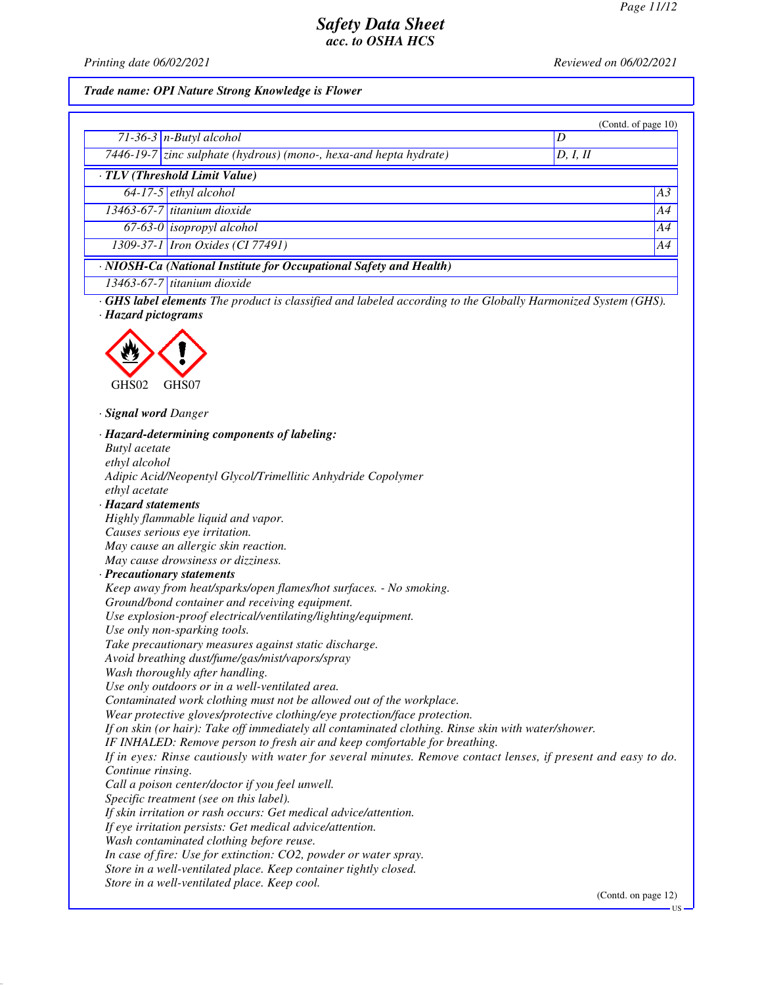*Printing date 06/02/2021 Reviewed on 06/02/2021*

#### *Trade name: OPI Nature Strong Knowledge is Flower*

|                                                                          |                                                                   |          | (Contd. of page $10$ ) |
|--------------------------------------------------------------------------|-------------------------------------------------------------------|----------|------------------------|
|                                                                          | $71-36-3$ n-Butyl alcohol                                         |          |                        |
|                                                                          | 7446-19-7 zinc sulphate (hydrous) (mono-, hexa-and hepta hydrate) | D, I, II |                        |
|                                                                          | TLV (Threshold Limit Value)                                       |          |                        |
|                                                                          | $64-17-5$ ethyl alcohol                                           |          | A3                     |
|                                                                          | $13463-67-7$ titanium dioxide                                     |          | A4                     |
|                                                                          | $67-63-0$ isopropyl alcohol                                       |          | A4                     |
|                                                                          | 1309-37-1 <i>Iron Oxides</i> (CI 77491)                           |          | A4                     |
| $\cdot$ NIOSH-Ca (National Institute for Occupational Safety and Health) |                                                                   |          |                        |

*· GHS label elements The product is classified and labeled according to the Globally Harmonized System (GHS).*

*13463-67-7 titanium dioxide*

*· Hazard pictograms*



*· Signal word Danger*

*· Hazard-determining components of labeling: Butyl acetate ethyl alcohol Adipic Acid/Neopentyl Glycol/Trimellitic Anhydride Copolymer ethyl acetate · Hazard statements Highly flammable liquid and vapor. Causes serious eye irritation. May cause an allergic skin reaction. May cause drowsiness or dizziness. · Precautionary statements Keep away from heat/sparks/open flames/hot surfaces. - No smoking. Ground/bond container and receiving equipment. Use explosion-proof electrical/ventilating/lighting/equipment. Use only non-sparking tools. Take precautionary measures against static discharge. Avoid breathing dust/fume/gas/mist/vapors/spray Wash thoroughly after handling. Use only outdoors or in a well-ventilated area. Contaminated work clothing must not be allowed out of the workplace. Wear protective gloves/protective clothing/eye protection/face protection. If on skin (or hair): Take off immediately all contaminated clothing. Rinse skin with water/shower. IF INHALED: Remove person to fresh air and keep comfortable for breathing. If in eyes: Rinse cautiously with water for several minutes. Remove contact lenses, if present and easy to do. Continue rinsing. Call a poison center/doctor if you feel unwell. Specific treatment (see on this label). If skin irritation or rash occurs: Get medical advice/attention. If eye irritation persists: Get medical advice/attention. Wash contaminated clothing before reuse. In case of fire: Use for extinction: CO2, powder or water spray. Store in a well-ventilated place. Keep container tightly closed. Store in a well-ventilated place. Keep cool.*

(Contd. on page 12)

US